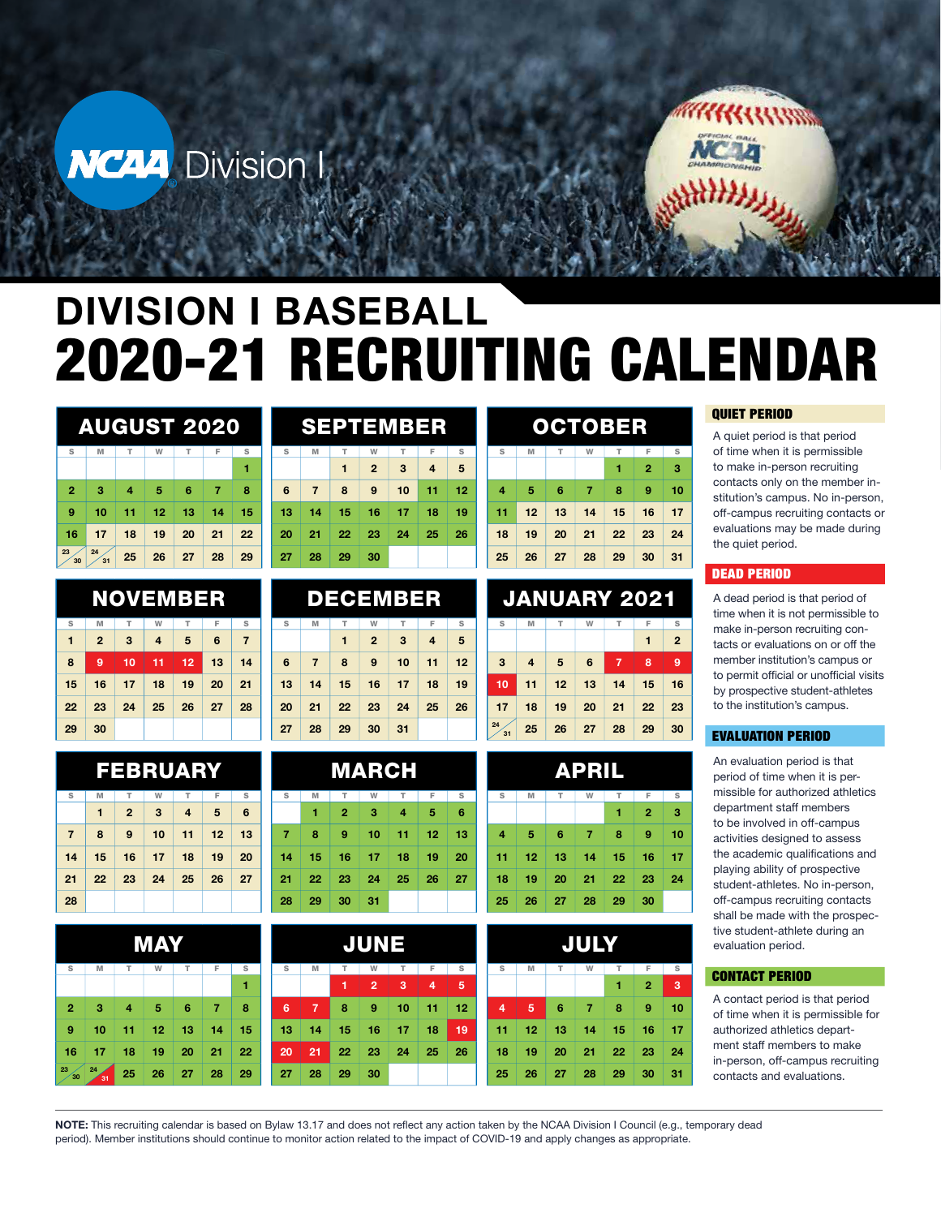



# DIVISION I BASEBALL 2020-21 RECRUITING CALENDAR

|                | AUGUST 2020 |    |    |    |    |    |  |  |  |  |
|----------------|-------------|----|----|----|----|----|--|--|--|--|
| s              | M           | т  | W  | т  | F  | S  |  |  |  |  |
|                |             |    |    |    |    | 1  |  |  |  |  |
| $\overline{2}$ | 3           | 4  | 5  | 6  | 7  | 8  |  |  |  |  |
| 9              | 10          | 11 | 12 | 13 | 14 | 15 |  |  |  |  |
| 16             | 17          | 18 | 19 | 20 | 21 | 22 |  |  |  |  |
| 23<br>30       | 24<br>31    | 25 | 26 | 27 | 28 | 29 |  |  |  |  |

|    |                |    | <b>NOVEMBER</b> |    |    |                |
|----|----------------|----|-----------------|----|----|----------------|
| S  | M              | т  | W               | т  | F  | S              |
| 1  | $\overline{2}$ | 3  | $\overline{4}$  | 5  | 6  | $\overline{7}$ |
| 8  | 9              | 10 | 11              | 12 | 13 | 14             |
| 15 | 16             | 17 | 18              | 19 | 20 | 21             |
| 22 | 23             | 24 | 25              | 26 | 27 | 28             |
| 29 | 30             |    |                 |    |    |                |

|                |    |              | FEBRUARY |    |    |                 |
|----------------|----|--------------|----------|----|----|-----------------|
| s              | M  | т            | W        | т  | F  | s               |
|                | 1  | $\mathbf{2}$ | 3        | 4  | 5  | $6\phantom{1}6$ |
| $\overline{7}$ | 8  | 9            | 10       | 11 | 12 | 13              |
| 14             | 15 | 16           | 17       | 18 | 19 | 20              |
| 21             | 22 | 23           | 24       | 25 | 26 | 27              |
| 28             |    |              |          |    |    |                 |

| MAY            |          |    |    |    |    |    |  |  |
|----------------|----------|----|----|----|----|----|--|--|
| $\mathbb S$    | M        | т  | W  | т  | F  | s  |  |  |
|                |          |    |    |    |    | 1  |  |  |
| $\overline{2}$ | 3        | 4  | 5  | 6  | 7  | 8  |  |  |
| 9              | 10       | 11 | 12 | 13 | 14 | 15 |  |  |
| 16             | 17       | 18 | 19 | 20 | 21 | 22 |  |  |
| 23<br>30       | 24<br>31 | 25 | 26 | 27 | 28 | 29 |  |  |

|    |                |    | SEPTEMBER      |    |    |    |
|----|----------------|----|----------------|----|----|----|
| s  | M              | т  | W              | т  | F  | s  |
|    |                | 1  | $\overline{2}$ | 3  | 4  | 5  |
| 6  | $\overline{7}$ | 8  | 9              | 10 | 11 | 12 |
| 13 | 14             | 15 | 16             | 17 | 18 | 19 |
| 20 | 21             | 22 | 23             | 24 | 25 | 26 |
| 27 | 28             | 29 | 30             |    |    |    |

|                 |                | <b>DECEMBER</b> |                |    |                |    |
|-----------------|----------------|-----------------|----------------|----|----------------|----|
| s               | M              | т               | W              | T  | F              | s  |
|                 |                | 1               | $\overline{2}$ | 3  | $\overline{4}$ | 5  |
| $6\phantom{1}6$ | $\overline{7}$ | 8               | 9              | 10 | 11             | 12 |
| 13              | 14             | 15              | 16             | 17 | 18             | 19 |
| 20              | 21             | 22              | 23             | 24 | 25             | 26 |
| 27              | 28             | 29              | 30             | 31 |                |    |
|                 |                |                 |                |    |                |    |

| MARCH |    |                |    |                |    |    |  |  |  |
|-------|----|----------------|----|----------------|----|----|--|--|--|
| s     | M  | т              | W  | т              | F  | s  |  |  |  |
|       | 1  | $\overline{2}$ | 3  | $\overline{4}$ | 5  | 6  |  |  |  |
| 7     | 8  | 9              | 10 | 11             | 12 | 13 |  |  |  |
| 14    | 15 | 16             | 17 | 18             | 19 | 20 |  |  |  |
| 21    | 22 | 23             | 24 | 25             | 26 | 27 |  |  |  |
| 28    | 29 | 30             | 31 |                |    |    |  |  |  |

| s  | M  | Т  | W              | T  | F  | s  | s  |   |
|----|----|----|----------------|----|----|----|----|---|
|    |    | 1  | $\overline{2}$ | 3  | 4  | 5  |    |   |
| 6  | 7  | 8  | 9              | 10 | 11 | 12 | 4  |   |
| 13 | 14 | 15 | 16             | 17 | 18 | 19 | 11 |   |
| 20 | 21 | 22 | 23             | 24 | 25 | 26 | 18 |   |
| 27 | 28 | 29 | 30             |    |    |    | 25 | Í |

|                |    | OCTOBER |                |    |                |    |
|----------------|----|---------|----------------|----|----------------|----|
| s              | M  | т       | W              | т  | F              | s  |
|                |    |         |                | 1  | $\overline{2}$ | 3  |
| $\overline{4}$ | 5  | 6       | $\overline{7}$ | 8  | 9              | 10 |
| 11             | 12 | 13      | 14             | 15 | 16             | 17 |
| 18             | 19 | 20      | 21             | 22 | 23             | 24 |
| 25             | 26 | 27      | 28             | 29 | 30             | 31 |

|                | <b>JANUARY 2021</b> |    |    |                |    |                |
|----------------|---------------------|----|----|----------------|----|----------------|
| s              | M                   | т  | W  | т              | F  | s              |
|                |                     |    |    |                | 1  | $\overline{2}$ |
| $\overline{3}$ | $\overline{4}$      | 5  | 6  | $\overline{7}$ | 8  | 9              |
| 10             | 11                  | 12 | 13 | 14             | 15 | 16             |
| 17             | 18                  | 19 | 20 | 21             | 22 | 23             |
| 24<br>31       | 25                  | 26 | 27 | 28             | 29 | 30             |

|                |    |    | APRIL          |    |                |    |
|----------------|----|----|----------------|----|----------------|----|
| s              | M  | т  | W              | т  | F              | s  |
|                |    |    |                | 1  | $\overline{2}$ | 3  |
| $\overline{4}$ | 5  | 6  | $\overline{7}$ | 8  | 9              | 10 |
| 11             | 12 | 13 | 14             | 15 | 16             | 17 |
| 18             | 19 | 20 | 21             | 22 | 23             | 24 |
| 25             | 26 | 27 | 28             | 29 | 30             |    |

|                |    |    | <b>JULY</b> |    |                |    |
|----------------|----|----|-------------|----|----------------|----|
| s              | M  | T  | W           | T  | F              | s  |
|                |    |    |             | 1  | $\overline{2}$ | 3  |
| $\overline{4}$ | 5  | 6  | 7           | 8  | 9              | 10 |
| 11             | 12 | 13 | 14          | 15 | 16             | 17 |
| 18             | 19 | 20 | 21          | 22 | 23             | 24 |
| 25             | 26 | 27 | 28          | 29 | 30             | 31 |

## QUIET PERIOD

A quiet period is that period of time when it is permissible to make in-person recruiting contacts only on the member institution's campus. No in-person, off-campus recruiting contacts or evaluations may be made during the quiet period.

#### DEAD PERIOD

A dead period is that period of time when it is not permissible to make in-person recruiting contacts or evaluations on or off the member institution's campus or to permit official or unofficial visits by prospective student-athletes to the institution's campus.

### EVALUATION PERIOD

An evaluation period is that period of time when it is permissible for authorized athletics department staff members to be involved in off-campus activities designed to assess the academic qualifications and playing ability of prospective student-athletes. No in-person, off-campus recruiting contacts shall be made with the prospective student-athlete during an evaluation period.

#### CONTACT PERIOD

A contact period is that period of time when it is permissible for authorized athletics department staff members to make in-person, off-campus recruiting contacts and evaluations.

NOTE: This recruiting calendar is based on Bylaw 13.17 and does not reflect any action taken by the NCAA Division I Council (e.g., temporary dead period). Member institutions should continue to monitor action related to the impact of COVID-19 and apply changes as appropriate.